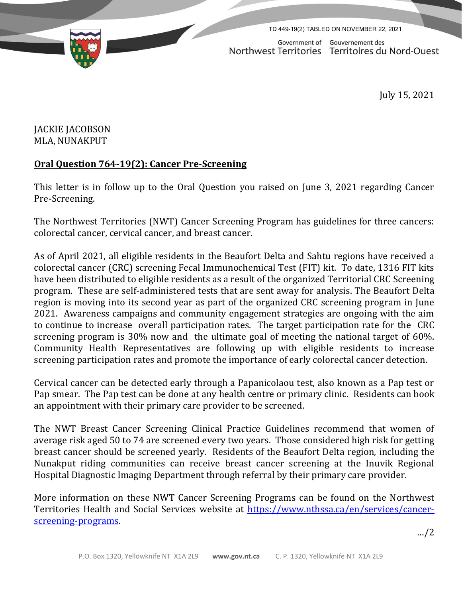TD 449-19(2) TABLED ON NOVEMBER 22, 2021

Government of Gouvernement des Northwest Territories Territoires du Nord-Ouest

July 15, 2021

## JACKIE JACOBSON MLA, NUNAKPUT

## **Oral Question 764-19(2): Cancer Pre-Screening**

This letter is in follow up to the Oral Question you raised on June 3, 2021 regarding Cancer Pre-Screening.

The Northwest Territories (NWT) Cancer Screening Program has guidelines for three cancers: colorectal cancer, cervical cancer, and breast cancer.

As of April 2021, all eligible residents in the Beaufort Delta and Sahtu regions have received a colorectal cancer (CRC) screening Fecal Immunochemical Test (FIT) kit. To date, 1316 FIT kits have been distributed to eligible residents as a result of the organized Territorial CRC Screening program. These are self-administered tests that are sent away for analysis. The Beaufort Delta region is moving into its second year as part of the organized CRC screening program in June 2021. Awareness campaigns and community engagement strategies are ongoing with the aim to continue to increase overall participation rates. The target participation rate for the CRC screening program is 30% now and the ultimate goal of meeting the national target of 60%. Community Health Representatives are following up with eligible residents to increase screening participation rates and promote the importance of early colorectal cancer detection.

Cervical cancer can be detected early through a Papanicolaou test, also known as a Pap test or Pap smear. The Pap test can be done at any health centre or primary clinic. Residents can book an appointment with their primary care provider to be screened.

The NWT Breast Cancer Screening Clinical Practice Guidelines recommend that women of average risk aged 50 to 74 are screened every two years. Those considered high risk for getting breast cancer should be screened yearly. Residents of the Beaufort Delta region, including the Nunakput riding communities can receive breast cancer screening at the Inuvik Regional Hospital Diagnostic Imaging Department through referral by their primary care provider.

More information on these NWT Cancer Screening Programs can be found on the Northwest Territories Health and Social Services website at [https://www.nthssa.ca/en/services/cancer](https://www.nthssa.ca/en/services/cancer-screening-programs)[screening-programs.](https://www.nthssa.ca/en/services/cancer-screening-programs)

…/2